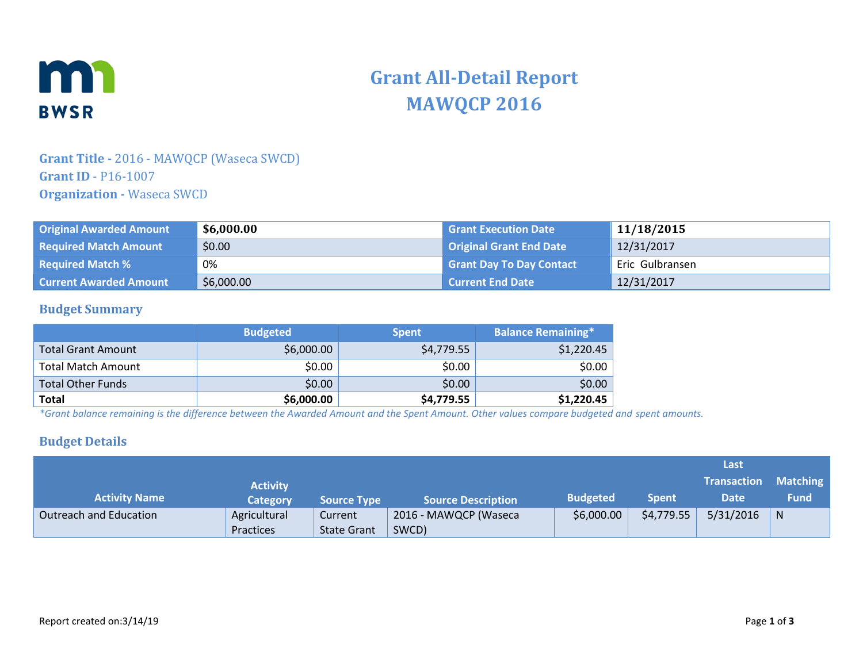

# **Grant All-Detail Report MAWQCP 2016**

## **Grant Title -** 2016 - MAWQCP (Waseca SWCD) **Grant ID** - P16-1007 **Organization -** Waseca SWCD

| <b>Original Awarded Amount</b> | \$6,000.00 | <b>Grant Execution Date</b>     | 11/18/2015      |
|--------------------------------|------------|---------------------------------|-----------------|
| <b>Required Match Amount</b>   | \$0.00     | Original Grant End Date         | 12/31/2017      |
| <b>Required Match %</b>        | 0%         | <b>Grant Day To Day Contact</b> | Eric Gulbransen |
| <b>Current Awarded Amount</b>  | \$6,000.00 | <b>Current End Date</b>         | 12/31/2017      |

#### **Budget Summary**

|                           | <b>Budgeted</b> | <b>Spent</b> | <b>Balance Remaining*</b> |
|---------------------------|-----------------|--------------|---------------------------|
| Total Grant Amount        | \$6,000.00      | \$4,779.55   | \$1,220.45                |
| <b>Total Match Amount</b> | \$0.00          | \$0.00       | \$0.00                    |
| <b>Total Other Funds</b>  | \$0.00          | \$0.00       | \$0.00                    |
| <b>Total</b>              | \$6,000.00      | \$4,779.55   | \$1,220.45                |

*\*Grant balance remaining is the difference between the Awarded Amount and the Spent Amount. Other values compare budgeted and spent amounts.*

#### **Budget Details**

|                        |                 |                    |                           |                 |              | Last               |                 |
|------------------------|-----------------|--------------------|---------------------------|-----------------|--------------|--------------------|-----------------|
|                        | <b>Activity</b> |                    |                           |                 |              | <b>Transaction</b> | <b>Matching</b> |
| <b>Activity Name</b>   | <b>Category</b> | <b>Source Type</b> | <b>Source Description</b> | <b>Budgeted</b> | <b>Spent</b> | Date               | <b>Fund</b>     |
| Outreach and Education | Agricultural    | Current            | 2016 - MAWQCP (Waseca     | \$6,000.00      | \$4,779.55   | 5/31/2016          | N               |
|                        | Practices       | <b>State Grant</b> | SWCD)                     |                 |              |                    |                 |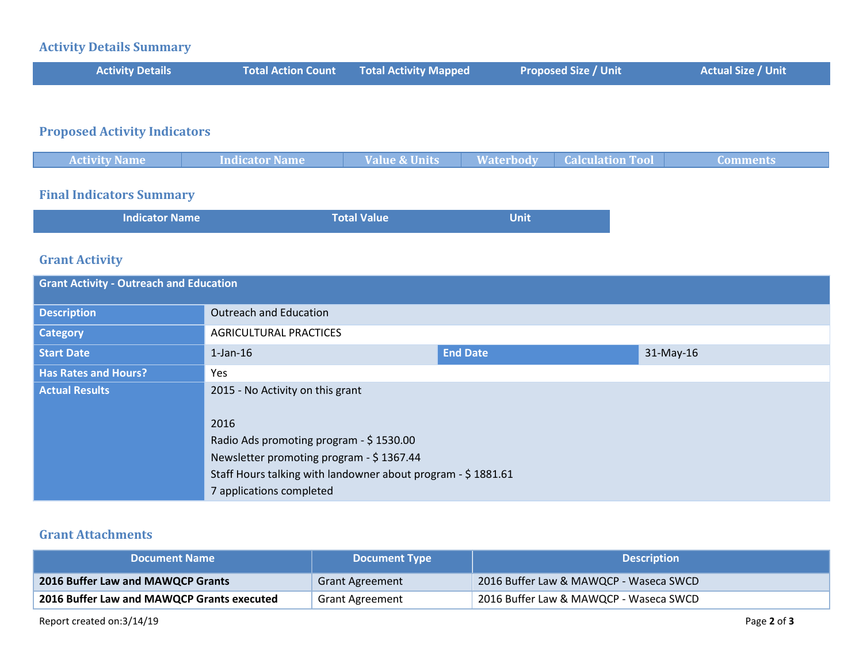### **Activity Details Summary**

| <b>Activity Details</b> | <b>Total Action Count Total Activity Mapped</b> | <b>Proposed Size / Unit</b> | <b>Actual Size / Unit</b> |
|-------------------------|-------------------------------------------------|-----------------------------|---------------------------|
|                         |                                                 |                             |                           |

## **Proposed Activity Indicators**

| <b>Activity Name</b> | Indicator Name | Value & Units | <b>Waterbody</b> | <b>Calculation Tool</b> | <b>Comments</b> |
|----------------------|----------------|---------------|------------------|-------------------------|-----------------|
|                      |                |               |                  |                         |                 |

## **Final Indicators Summary**

| <b>Indicator Name</b> | <b>Total Value</b> | <b>Unit</b> |
|-----------------------|--------------------|-------------|
|                       |                    |             |

### **Grant Activity**

| <b>Grant Activity - Outreach and Education</b> |                                                                                                                                                                                         |                 |             |  |
|------------------------------------------------|-----------------------------------------------------------------------------------------------------------------------------------------------------------------------------------------|-----------------|-------------|--|
| <b>Description</b>                             | <b>Outreach and Education</b>                                                                                                                                                           |                 |             |  |
| <b>Category</b>                                | <b>AGRICULTURAL PRACTICES</b>                                                                                                                                                           |                 |             |  |
| <b>Start Date</b>                              | $1$ -Jan- $16$                                                                                                                                                                          | <b>End Date</b> | $31-May-16$ |  |
| <b>Has Rates and Hours?</b>                    | Yes                                                                                                                                                                                     |                 |             |  |
| <b>Actual Results</b>                          | 2015 - No Activity on this grant                                                                                                                                                        |                 |             |  |
|                                                | 2016<br>Radio Ads promoting program - \$1530.00<br>Newsletter promoting program - \$1367.44<br>Staff Hours talking with landowner about program - \$1881.61<br>7 applications completed |                 |             |  |

#### **Grant Attachments**

| <b>Document Name</b>                       | <b>Document Type</b>   | <b>Description</b>                     |
|--------------------------------------------|------------------------|----------------------------------------|
| <b>2016 Buffer Law and MAWQCP Grants</b>   | <b>Grant Agreement</b> | 2016 Buffer Law & MAWQCP - Waseca SWCD |
| 2016 Buffer Law and MAWQCP Grants executed | <b>Grant Agreement</b> | 2016 Buffer Law & MAWQCP - Waseca SWCD |